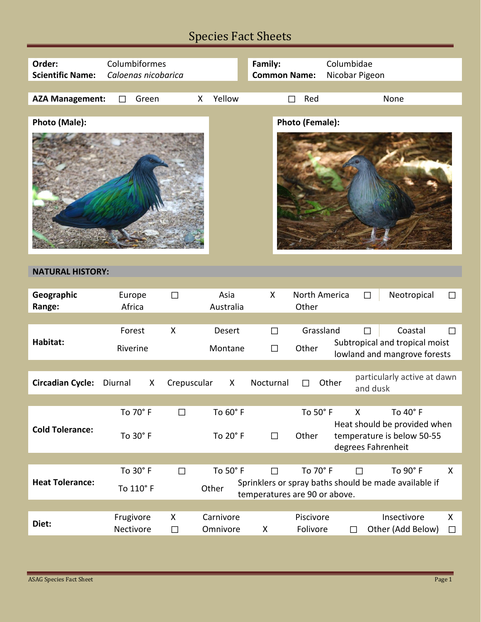| Order:<br><b>Scientific Name:</b> | Columbiformes<br>Caloenas nicobarica |                  |                       | Family:<br><b>Common Name:</b> |                        | Columbidae<br>Nicobar Pigeon                                                     |                       |
|-----------------------------------|--------------------------------------|------------------|-----------------------|--------------------------------|------------------------|----------------------------------------------------------------------------------|-----------------------|
| <b>AZA Management:</b>            | Green<br>П                           |                  | Yellow<br>X           |                                | Red                    | None                                                                             |                       |
| Photo (Male):                     |                                      |                  |                       |                                | Photo (Female):        |                                                                                  |                       |
|                                   |                                      |                  |                       |                                |                        |                                                                                  |                       |
| <b>NATURAL HISTORY:</b>           |                                      |                  |                       |                                |                        |                                                                                  |                       |
| Geographic<br>Range:              | Europe<br>Africa                     | $\Box$           | Asia<br>Australia     | X                              | North America<br>Other | $\Box$                                                                           | Neotropical<br>$\Box$ |
|                                   | Forest                               | X                | <b>Desert</b>         | П                              | Grassland              |                                                                                  | Coastal<br>П          |
| Habitat:                          | Riverine                             |                  | Montane               | П                              | Other                  | Subtropical and tropical moist<br>lowland and mangrove forests                   |                       |
|                                   |                                      |                  |                       |                                |                        | particularly active at dawn                                                      |                       |
| <b>Circadian Cycle:</b>           | Diurnal                              | X<br>Crepuscular | X                     | Nocturnal                      |                        | Other<br>and dusk                                                                |                       |
|                                   | To 70° F                             | $\Box$           | To 60° F              |                                | To 50°F                | To 40° F<br>X                                                                    |                       |
| <b>Cold Tolerance:</b>            | To 30° F                             |                  | To 20° F              | $\Box$                         | Other                  | Heat should be provided when<br>temperature is below 50-55<br>degrees Fahrenheit |                       |
|                                   |                                      |                  |                       |                                |                        |                                                                                  |                       |
| <b>Heat Tolerance:</b>            | To 30° F<br>To 110° F                | $\Box$           | To 50° F<br>Other     | $\Box$                         | To 70° F               | To 90° F<br>$\Box$<br>Sprinklers or spray baths should be made available if      | X                     |
|                                   |                                      |                  |                       | temperatures are 90 or above.  |                        |                                                                                  |                       |
| Diet:                             | Frugivore<br>Nectivore               | X<br>$\Box$      | Carnivore<br>Omnivore | X                              | Piscivore<br>Folivore  | Insectivore<br>Other (Add Below)<br>$\Box$                                       | X<br>$\Box$           |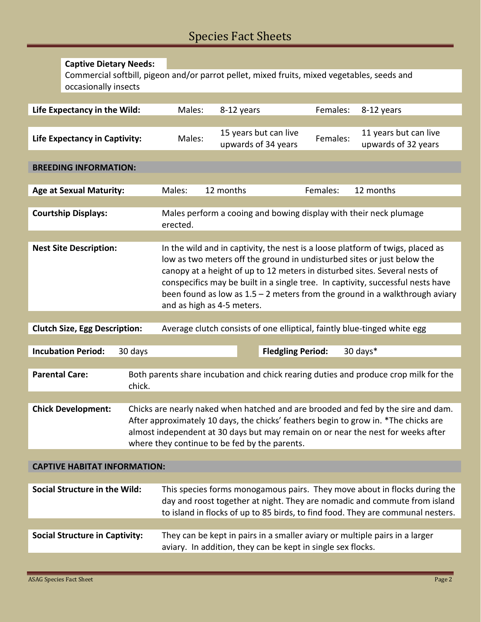|                                      | <b>Captive Dietary Needs:</b>         |                                                                                                                                                                                                                                                                                                                                                                                                                                           |                                                                                      |                                                                                                                                                                                                                                           |                                              |                                                                             |  |  |
|--------------------------------------|---------------------------------------|-------------------------------------------------------------------------------------------------------------------------------------------------------------------------------------------------------------------------------------------------------------------------------------------------------------------------------------------------------------------------------------------------------------------------------------------|--------------------------------------------------------------------------------------|-------------------------------------------------------------------------------------------------------------------------------------------------------------------------------------------------------------------------------------------|----------------------------------------------|-----------------------------------------------------------------------------|--|--|
|                                      | occasionally insects                  |                                                                                                                                                                                                                                                                                                                                                                                                                                           |                                                                                      | Commercial softbill, pigeon and/or parrot pellet, mixed fruits, mixed vegetables, seeds and                                                                                                                                               |                                              |                                                                             |  |  |
|                                      |                                       |                                                                                                                                                                                                                                                                                                                                                                                                                                           |                                                                                      |                                                                                                                                                                                                                                           |                                              |                                                                             |  |  |
|                                      | Life Expectancy in the Wild:          |                                                                                                                                                                                                                                                                                                                                                                                                                                           | Males:                                                                               | 8-12 years                                                                                                                                                                                                                                | Females:                                     | 8-12 years                                                                  |  |  |
| <b>Life Expectancy in Captivity:</b> |                                       | Males:                                                                                                                                                                                                                                                                                                                                                                                                                                    | 15 years but can live<br>upwards of 34 years                                         | Females:                                                                                                                                                                                                                                  | 11 years but can live<br>upwards of 32 years |                                                                             |  |  |
| <b>BREEDING INFORMATION:</b>         |                                       |                                                                                                                                                                                                                                                                                                                                                                                                                                           |                                                                                      |                                                                                                                                                                                                                                           |                                              |                                                                             |  |  |
|                                      | <b>Age at Sexual Maturity:</b>        |                                                                                                                                                                                                                                                                                                                                                                                                                                           | Males:                                                                               | 12 months                                                                                                                                                                                                                                 | Females:                                     | 12 months                                                                   |  |  |
|                                      |                                       |                                                                                                                                                                                                                                                                                                                                                                                                                                           |                                                                                      |                                                                                                                                                                                                                                           |                                              |                                                                             |  |  |
| <b>Courtship Displays:</b>           |                                       | Males perform a cooing and bowing display with their neck plumage<br>erected.                                                                                                                                                                                                                                                                                                                                                             |                                                                                      |                                                                                                                                                                                                                                           |                                              |                                                                             |  |  |
|                                      |                                       |                                                                                                                                                                                                                                                                                                                                                                                                                                           |                                                                                      |                                                                                                                                                                                                                                           |                                              |                                                                             |  |  |
| <b>Nest Site Description:</b>        |                                       | In the wild and in captivity, the nest is a loose platform of twigs, placed as<br>low as two meters off the ground in undisturbed sites or just below the<br>canopy at a height of up to 12 meters in disturbed sites. Several nests of<br>conspecifics may be built in a single tree. In captivity, successful nests have<br>been found as low as $1.5 - 2$ meters from the ground in a walkthrough aviary<br>and as high as 4-5 meters. |                                                                                      |                                                                                                                                                                                                                                           |                                              |                                                                             |  |  |
|                                      |                                       |                                                                                                                                                                                                                                                                                                                                                                                                                                           |                                                                                      |                                                                                                                                                                                                                                           |                                              |                                                                             |  |  |
|                                      | <b>Clutch Size, Egg Description:</b>  |                                                                                                                                                                                                                                                                                                                                                                                                                                           |                                                                                      | Average clutch consists of one elliptical, faintly blue-tinged white egg                                                                                                                                                                  |                                              |                                                                             |  |  |
|                                      |                                       |                                                                                                                                                                                                                                                                                                                                                                                                                                           |                                                                                      |                                                                                                                                                                                                                                           |                                              |                                                                             |  |  |
|                                      | <b>Incubation Period:</b>             | 30 days                                                                                                                                                                                                                                                                                                                                                                                                                                   |                                                                                      |                                                                                                                                                                                                                                           | <b>Fledgling Period:</b>                     | 30 days*                                                                    |  |  |
|                                      | <b>Parental Care:</b>                 | chick.                                                                                                                                                                                                                                                                                                                                                                                                                                    | Both parents share incubation and chick rearing duties and produce crop milk for the |                                                                                                                                                                                                                                           |                                              |                                                                             |  |  |
|                                      | <b>Chick Development:</b>             | Chicks are nearly naked when hatched and are brooded and fed by the sire and dam.<br>After approximately 10 days, the chicks' feathers begin to grow in. *The chicks are<br>almost independent at 30 days but may remain on or near the nest for weeks after<br>where they continue to be fed by the parents.                                                                                                                             |                                                                                      |                                                                                                                                                                                                                                           |                                              |                                                                             |  |  |
|                                      |                                       |                                                                                                                                                                                                                                                                                                                                                                                                                                           |                                                                                      |                                                                                                                                                                                                                                           |                                              |                                                                             |  |  |
| <b>CAPTIVE HABITAT INFORMATION:</b>  |                                       |                                                                                                                                                                                                                                                                                                                                                                                                                                           |                                                                                      |                                                                                                                                                                                                                                           |                                              |                                                                             |  |  |
|                                      | <b>Social Structure in the Wild:</b>  |                                                                                                                                                                                                                                                                                                                                                                                                                                           |                                                                                      | This species forms monogamous pairs. They move about in flocks during the<br>day and roost together at night. They are nomadic and commute from island<br>to island in flocks of up to 85 birds, to find food. They are communal nesters. |                                              |                                                                             |  |  |
|                                      | <b>Social Structure in Captivity:</b> |                                                                                                                                                                                                                                                                                                                                                                                                                                           |                                                                                      | aviary. In addition, they can be kept in single sex flocks.                                                                                                                                                                               |                                              | They can be kept in pairs in a smaller aviary or multiple pairs in a larger |  |  |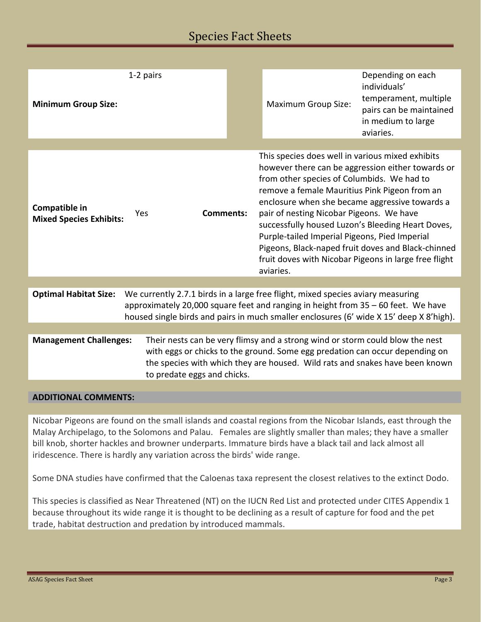| <b>Minimum Group Size:</b>                                                                                                                                                                                                                                                                      | 1-2 pairs                                                                                                                                                                                                                                                                    |  | <b>Maximum Group Size:</b>                                                                                                                                                                                                                                                                                                                                                                                                                                                                                                           | Depending on each<br>individuals'<br>temperament, multiple<br>pairs can be maintained<br>in medium to large<br>aviaries. |  |  |
|-------------------------------------------------------------------------------------------------------------------------------------------------------------------------------------------------------------------------------------------------------------------------------------------------|------------------------------------------------------------------------------------------------------------------------------------------------------------------------------------------------------------------------------------------------------------------------------|--|--------------------------------------------------------------------------------------------------------------------------------------------------------------------------------------------------------------------------------------------------------------------------------------------------------------------------------------------------------------------------------------------------------------------------------------------------------------------------------------------------------------------------------------|--------------------------------------------------------------------------------------------------------------------------|--|--|
|                                                                                                                                                                                                                                                                                                 |                                                                                                                                                                                                                                                                              |  |                                                                                                                                                                                                                                                                                                                                                                                                                                                                                                                                      |                                                                                                                          |  |  |
| Compatible in<br><b>Mixed Species Exhibits:</b>                                                                                                                                                                                                                                                 | <b>Comments:</b><br><b>Yes</b>                                                                                                                                                                                                                                               |  | This species does well in various mixed exhibits<br>however there can be aggression either towards or<br>from other species of Columbids. We had to<br>remove a female Mauritius Pink Pigeon from an<br>enclosure when she became aggressive towards a<br>pair of nesting Nicobar Pigeons. We have<br>successfully housed Luzon's Bleeding Heart Doves,<br>Purple-tailed Imperial Pigeons, Pied Imperial<br>Pigeons, Black-naped fruit doves and Black-chinned<br>fruit doves with Nicobar Pigeons in large free flight<br>aviaries. |                                                                                                                          |  |  |
|                                                                                                                                                                                                                                                                                                 |                                                                                                                                                                                                                                                                              |  |                                                                                                                                                                                                                                                                                                                                                                                                                                                                                                                                      |                                                                                                                          |  |  |
| <b>Optimal Habitat Size:</b><br>We currently 2.7.1 birds in a large free flight, mixed species aviary measuring<br>approximately 20,000 square feet and ranging in height from 35 - 60 feet. We have<br>housed single birds and pairs in much smaller enclosures (6' wide X 15' deep X 8'high). |                                                                                                                                                                                                                                                                              |  |                                                                                                                                                                                                                                                                                                                                                                                                                                                                                                                                      |                                                                                                                          |  |  |
|                                                                                                                                                                                                                                                                                                 |                                                                                                                                                                                                                                                                              |  |                                                                                                                                                                                                                                                                                                                                                                                                                                                                                                                                      |                                                                                                                          |  |  |
| <b>Management Challenges:</b>                                                                                                                                                                                                                                                                   | Their nests can be very flimsy and a strong wind or storm could blow the nest<br>with eggs or chicks to the ground. Some egg predation can occur depending on<br>the species with which they are housed. Wild rats and snakes have been known<br>to predate eggs and chicks. |  |                                                                                                                                                                                                                                                                                                                                                                                                                                                                                                                                      |                                                                                                                          |  |  |
|                                                                                                                                                                                                                                                                                                 |                                                                                                                                                                                                                                                                              |  |                                                                                                                                                                                                                                                                                                                                                                                                                                                                                                                                      |                                                                                                                          |  |  |

#### **ADDITIONAL COMMENTS:**

Nicobar Pigeons are found on the small islands and coastal regions from the Nicobar Islands, east through the Malay Archipelago, to the Solomons and Palau. Females are slightly smaller than males; they have a smaller bill knob, shorter hackles and browner underparts. Immature birds have a black tail and lack almost all iridescence. There is hardly any variation across the birds' wide range.

Some DNA studies have confirmed that the Caloenas taxa represent the closest relatives to the extinct Dodo.

This species is classified as Near Threatened (NT) on the IUCN Red List and protected under CITES Appendix 1 because throughout its wide range it is thought to be declining as a result of capture for food and the pet trade, habitat destruction and predation by introduced mammals.